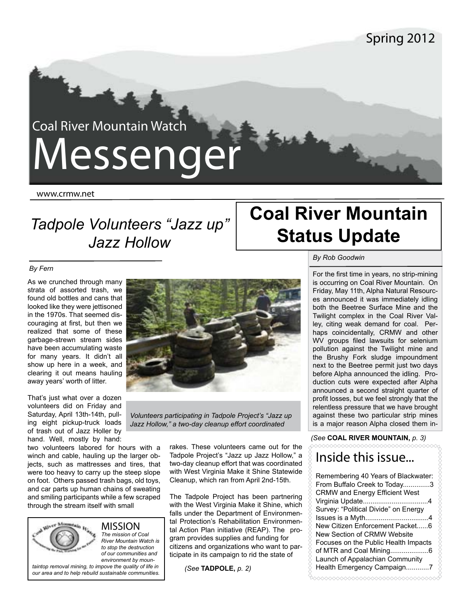# Coal River Mountain Watch Messenger

www.crmw.net

# *Tadpole Volunteers "Jazz up" Jazz Hollow*

# **Coal River Mountain Status Update**

#### *By Fern*

As we crunched through many strata of assorted trash, we found old bottles and cans that looked like they were jettisoned in the 1970s. That seemed discouraging at first, but then we realized that some of these garbage-strewn stream sides have been accumulating waste for many years. It didn't all show up here in a week, and clearing it out means hauling away years' worth of litter.

That's just what over a dozen volunteers did on Friday and Saturday, April 13th-14th, pulling eight pickup-truck loads of trash out of Jazz Holler by hand. Well, mostly by hand:

two volunteers labored for hours with a winch and cable, hauling up the larger objects, such as mattresses and tires, that were too heavy to carry up the steep slope on foot. Others passed trash bags, old toys, and car parts up human chains of sweating and smiling participants while a few scraped through the stream itself with small

> MISSION *The mission of Coal*

*River Mountain Watch is to stop the destruction of our communities and environment by moun-*

*taintop removal mining, to impove the quality of life in our area and to help rebuild sustainable communities.*



*Volunteers participating in Tadpole Project's "Jazz up Jazz Hollow," a two-day cleanup effort coordinated* 

> rakes. These volunteers came out for the Tadpole Project's "Jazz up Jazz Hollow," a two-day cleanup effort that was coordinated with West Virginia Make it Shine Statewide Cleanup, which ran from April 2nd-15th.

> The Tadpole Project has been partnering with the West Virginia Make it Shine, which falls under the Department of Environmental Protection's Rehabilitation Environmental Action Plan initiative (REAP). The program provides supplies and funding for citizens and organizations who want to participate in its campaign to rid the state of

*(See* **TADPOLE,** *p. 2)*

#### *By Rob Goodwin*

For the first time in years, no strip-mining is occurring on Coal River Mountain. On Friday, May 11th, Alpha Natural Resources announced it was immediately idling both the Beetree Surface Mine and the Twilight complex in the Coal River Valley, citing weak demand for coal. Perhaps coincidentally, CRMW and other WV groups filed lawsuits for selenium pollution against the Twilight mine and the Brushy Fork sludge impoundment next to the Beetree permit just two days before Alpha announced the idling. Production cuts were expected after Alpha announced a second straight quarter of profit losses, but we feel strongly that the relentless pressure that we have brought against these two particular strip mines is a major reason Alpha closed them in-

*(See* **COAL RIVER MOUNTAIN,** *p. 3)*

### Inside this issue...

Remembering 40 Years of Blackwater: From Buffalo Creek to Today..............3 CRMW and Energy Efficient West Virginia Update..................................4 Survey: "Political Divide" on Energy Issues is a Myth.................................4 New Citizen Enforcement Packet......6 New Section of CRMW Website Focuses on the Public Health Impacts of MTR and Coal Mining....................6 Launch of Appalachian Community Health Emergency Campaign............7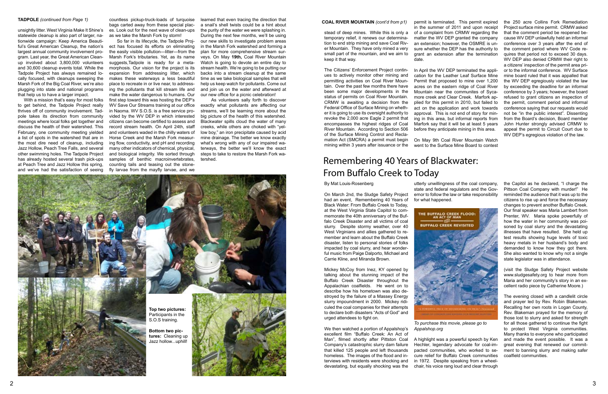stead of deep mines. While this is only a temporary relief, it renews our determination to end strip mining and save Coal River Mountain. They have only mined a very small part of the mountain, and we aim to keep it that way.

The Citizens' Enforcement Project continues to actively monitor other mining and permitting activities on Coal River Mountain. Over the past few months there have been some major developments in the status of permits on Coal River Mountain. CRMW is awaiting a decision from the Federal Office of Surface Mining on whether it is going to use its oversight authority to revoke the 2,000 acre Eagle 2 permit that encompasses the highest ridges of Coal River Mountain. According to Section 506 of the Surface Mining Control and Reclamation Act (SMCRA) a permit must begin mining within 3 years after issuance or the

permit is terminated. This permit expired in the summer of 2011 and upon receipt of a complaint from CRMW regarding the matter the WV DEP granted the company an extension; however, the OSMRE is unsure whether the DEP has the authority to grant an extension after the termination date.

In April the WV DEP terminated the application for the Leather Leaf Surface Mine Permit that proposed to mine over 1,200 acres on the eastern ridge of Coal River Mountain near the communites of Sycamore creek and Clear Creek. Marfork applied for this permit in 2010, but failed to act on the application and work towards approval. This is not end of story for mining in this area, but informal reports from Marfork say that it will be at least 5 years before they anticipate mining in this area.

On May 9th Coal River Mountain Watch went to the Surface Mine Board to contest the 250 acre Collins Fork Remediation Project surface mine permit. CRMW asked that the comment period be reopened because WV DEP unlawfully held an informal conference over 3 years after the end of the comment period where WV Code requires that period not to exceed 30 days. WV DEP also denied CRMW their right to a citizens' inspection of the permit area prior to the informal conference. WV Surface mine board ruled that it was appalled that the WV DEP egregiously violated the law by exceeding the deadline for an informal conference by 3 years; however, the board refused to grant citizens an inspection of the permit, comment period and informal conference saying that our requests would not be "in the public interest". Dissenting from the Board's decision, Board member John Hunter strongly advised CRMW to appeal the permit to Circuit Court due to WV DEP's egregious violation of the law.

#### By Mat Louis-Rosenberg

On March 2nd, the Sludge Safety Project had an event, Remembering 40 Years of Black Water: From Buffalo Creek to Today, at the West Virginia State Capitol to commemorate the 40th anniversary of the Buffalo Creek Disaster and all victims of coal slurry. Despite stormy weather, over 40 West Virginians and allies gathered to remember and learn about the Buffalo Creek disaster, listen to personal stories of folks impacted by coal slurry, and hear wonderful music from Paige Dalporto, Michael and Carrie Kline, and Miranda Brown.

Mickey McCoy from Inez, KY opened by talking about the stunning impact of the Buffalo Creek Disaster throughout the Appalachian coalfields. He went on to describe how his hometown was also destroyed by the failure of a Massey Energy slurry impoundment in 2000. Mickey ridiculed the coal companies for their attempts to declare both disasters "Acts of God" and urged attendees to fight on.

We then watched a portion of Appalshop's excellent film "Buffalo Creek: An Act of Man", filmed shortly after Pittston Coal Company's catastrophic slurry dam failure that killed 125 people and left thousands homeless. The images of the flood and interviews with residents were shocking and devastating, but equally shocking was the

utterly unwillingness of the coal company, state and federal regulators and the Governor to follow the law or take responsibility for what happened.



*To purchase this movie, please go to* 

*Appalshop.org*

A highlight was a powerful speech by Ken Hechler, legendary advocate for coal-impacted communities, who worked to secure relief for Buffalo Creek communities in 1972. Despite speaking from a wheelchair, his voice rang loud and clear through

the Capitol as he declared, "I charge the Pittson Coal Company with murder!" He reminded the audience that it was up to the citizens to rise up and force the necessary changes to prevent another Buffalo Creek. Our final speaker was Maria Lambert from Prenter, WV. Maria spoke powerfully of how the water in her community was poisoned by coal slurry and the devastating illnesses that have resulted. She held up test results showing huge levels of toxic heavy metals in her husband's body and demanded to know how they got there. She also wanted to know why not a single state legislator was in attendance.

(visit the Sludge Safety Project website www.sludgesafety.org to hear more from Maria and her community's story in an excellent radio piece by Catherine Moore.)

The evening closed with a candlelit circle and prayer led by Rev. Robin Blakeman. Recalling her own roots in Logan County, Rev. Blakeman prayed for the memory of those lost to slurry and asked for strength for all those gathered to continue the fight to protect West Virginia communities. Many thanks to everyone who participated and made the event possible. It was a great evening that renewed our commitment to banning slurry and making safer coalfield communities.

# Remembering 40 Years of Blackwater: From Buffalo Creek to Today



unsightly litter. West Virginia Make It Shine's statewide cleanup is also part of larger, nationwide campaign: Keep America Beautiful's Great American Cleanup, the nation's largest annual community involvement program. Last year, the Great American Cleanup involved about 3,800,000 volunteers and 30,600 cleanup events total. While the Tadpole Project has always remained locally focused, with cleanups sweeping the Marsh Fork of the Big Coal River, we're also plugging into state and national programs that help us to have a larger impact.

 With a mission that's easy for most folks to get behind, the Tadpole Project really thrives off of community involvement. Tadpole takes its direction from community meetings where local folks get together and discuss the health of their watershed. This February, one community meeting yielded a list of spots in the watershed that are in the most dire need of cleanup, including Jazz Hollow, Peach Tree Falls, and several other swimming holes. The Tadpole Project has already hosted several trash pick-ups at Peach Tree and Jazz Hollow this spring, and we've had the satisfaction of seeing

countless pickup-truck-loads of turquoise bags carted away from these special places. Look out for the next wave of clean-ups as we take the Marsh Fork by storm!

 So far in its lifecycle, the Tadpole Project has focused its efforts on eliminating the easily visible pollution—litter—from the Marsh Fork's tributaries. Yet, as its name suggests,Tadpole is ready for a metamorphosis. Our vision for the project is its expansion from addressing litter, which makes these waterways a less beautiful place to recreate in or live near, to addressing the pollutants that kill stream life and make the water dangerous to humans. Our first step toward this was hosting the DEP's WV Save Our Streams training at our office in Naoma. WV S.O.S. is a free service provided by the WV DEP in which interested citizens can become certified to assess and record stream health. On April 24th, staff and volunteers waded in the chilly waters of Horse Creek and the Marsh Fork measuring flow, conductivity, and pH and recording many other indicators of chemical, physical, and biological integrity. We sorted through samples of benthic macroinvertebrates, counting tails and teasing out the stonefly larvae from the mayfly larvae, and we

learned that even tracing the direction that a snail's shell twists could be a hint about the purity of the water we were splashing in. During the next few months, we'll be using our new skills to investigate problem areas in the Marsh Fork watershed and forming a plan for more comprehensive stream surveys. On May **19th,** Coal River Mountain Watch is going to devote an entire day to stream health. We're going to be putting our backs into a stream cleanup at the same time as we take biological samples that will help us keep watch for pollutants. Come out and join us on the water and afterward at our new office for a picnic celebration!

 As volunteers sally forth to discover exactly what pollutants are affecting our streams, we'll be learning more about the big picture of the health of this watershed. Blackwater spills cloud the water of many creeks, while others are choked with "yellow boy," an iron precipitate caused by acid mine drainage. The better we know exactly what's wrong with any of our impaired waterways, the better we'll know the exact steps to take to restore the Marsh Fork watershed.

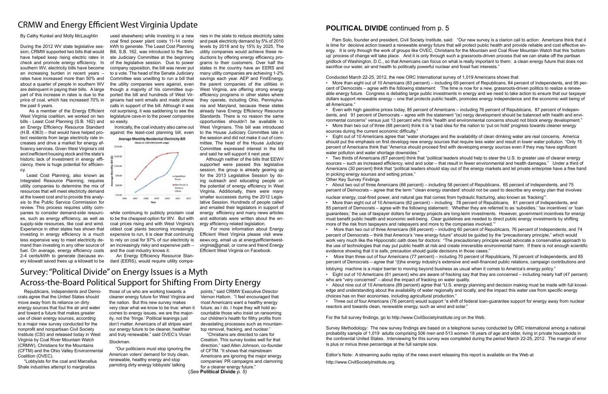## CRMW and Energy Efficient West Virginia Update

By Cathy Kunkel and Molly McLaughlin

During the 2012 WV state legislative session, CRMW supported two bills that would have helped keep rising electric rates in check and promote energy efficiency. In southern WV, electricity bills have become an increasing burden in recent years – rates have increased more than 50% and about a quarter of people in southern WV are delinquent in paying their bills. A large part of this increase in rates is due to the price of coal, which has increased 70% in the past 5 years.

 As a member of the Energy Efficient West Virginia coalition, we worked on two bills - Least Cost Planning (S.B. 162) and an Energy Efficiency Resource Standard (H.B. 4363) – that would have helped protect residents from large electricity rate increases and drive a market for energy efficiency services. Given West Virginia's old and inefficient housing stock and the state's historic lack of investment in energy efficiency, there is huge potential for efficiency.

 Least Cost Planning, also known as Integrated Resource Planning, requires utility companies to determine the mix of resources that will meet electricity demand at the lowest cost and to provide this analysis to the Public Service Commission for review. This process requires utility companies to consider demand-side resources, such as energy efficiency, as well as supply-side resources, like coal and wind. Experience in other states has shown that investing in energy efficiency is a much less expensive way to meet electricity demand than investing in any other source of fuel. On average, energy efficiency costs 2-4 cents/kWh to generate (because ev-

while continuing to publicly proclaim coal to be the cheapest option for WV. But with coal prices rising and with West Virginia's oldest coal plants becoming increasingly expensive to run, it is clear that continuing to rely on coal for 97% of our electricity is an increasingly risky and expensive path – and the coal industry knows it.

used elsewhere) while investing in a new coal fired power plant costs 11-14 cents/ kWh to generate. The Least Cost Planning Bill, S.B. 162, was introduced to the Senate Judiciary Committee at the beginning of the legislative session. Due to power company opposition, the bill was never put to a vote. The head of the Senate Judiciary Committee was unwilling to run a bill that the utility companies were against, even though a majority of his committee supported the bill and hundreds of West Virginians had sent emails and made phone calls in support of the bill. Although it was not surprising, it was saddening to see the legislature cave-in to the power companies so easily.

ery kilowatt saved frees up a kilowatt to be dard (EERS), would require utility compa-An Energy Efficiency Resource Stan-

 Ironically, the coal industry also came out against the least-cost planning bill, even



nies in the state to reduce electricity sales and peak electricity demand by 5% of 2010 levels by 2018 and by 15% by 2025. The utility companies would achieve these reductions by offering energy efficiency programs to their customers. Over half the states in the country have an EERS and many utility companies are achieving 1-2% savings each year. AEP and FirstEnergy, the parent companies of the utilities in West Virginia, are offering strong energy efficiency programs in other states where they operate, including Ohio, Pennsylvania and Maryland, because these states already have Energy Efficiency Resource Standards. There is no reason the same opportunities shouldn't be available to West Virginians. This bill was introduced to the House Judiciary Committee late in the session and did not make it out of committee. The head of the House Judiciary Committee expressed interest in the bill

and said he will support it next year.

 Although neither of the bills that EEWV supported were passed this legislative session, the group is already gearing up for the 2013 Legislative Session by doing outreach and educating people on the potential of energy efficiency in West Virginia. Additionally, there were many smaller successes during the 2012 Legislative Session. Hundreds of people called and emailed their legislators in support of energy efficiency and many news articles and editorials were written about the energy efficiency related legislation.

 For more information about Energy Efficient West Virginia please visit www. eewv.org, email us at energyefficientwestvirginia@gmail, or come and friend Energy Efficient West Virginia on Facebook.

### **POLITICAL DIVIDE** continued from p. 5

 Pam Solo, founder and president, Civil Society Institute, said: "Our new survey is a clarion call to action: Americans think that it is time for decisive action toward a renewable energy future that will protect public health and provide reliable and cost effective energy. It is only through the work of groups like OVEC, Christians for the Mountain and Coal River Mountain Watch that this 'bottom up' process of change will take place. And it is only through such a grassroots-driven process that we can shake off the partisan gridlock of Washington, D.C., so that Americans can focus on what is really important to them: a clean energy future that does not sacrifice our water, air and health to politically powerful nuclear and fossil fuel interests."

Conducted March 22-25, 2012, the new ORC International survey of 1,019 Americans shows that: • More than eight out of 10 Americans (83 percent) – including 69 percent of Republicans, 84 percent of Independents, and 95 percent of Democrats – agree with the following statement: 'The time is now for a new, grassroots-driven politics to realize a renewable energy future. Congress is debating large public investments in energy and we need to take action to ensure that our taxpayer dollars support renewable energy – one that protects public health, promotes energy independence and the economic well being of all Americans."

• Even with high gasoline prices today, 85 percent of Americans – including 76 percent of Republicans, 87 percent of Independents, and 91 percent of Democrats – agree with the statement "(e) nergy development should be balanced with health and environmental concerns" versus just 13 percent who think "health and environmental concerns should not block energy development." • More than two out of three (68 percent) think it is "a bad idea for the nation to 'put on hold' progress towards cleaner energy

sources during the current economic difficulty."

• Eight out of 10 Americans agree that "water shortages and the availability of clean drinking water are real concerns. America should put the emphasis on first developg new energy sources that require less water and result in lower water pollution. "Only 15 percent of Americans think that "America should proceed first with developing energy sources even if they may have significant water pollution and water shortage downsides."

• Two thirds of Americans (67 percent) think that "political leaders should help to steer the U.S. to greater use of cleaner energy sources – such as increased efficiency, wind and solar – that result in fewer environmental and health damages." Under a third of Americans (30 percent) think that "political leaders should stay out of the energy markets and let private enterprise have a free hand in picking energy sources and setting prices." Other Key Survey Findings

• About two out of three Americans (66 percent) – including 58 percent of Republicans, 65 percent of Independents, and 75 percent of Democrats – agree that the term "'clean energy standard' should not be used to describe any energy plan that involves

nuclear energy, coal-fired power, and natural gas that comes from hydraulic fracturing, also known as 'fracking'". • More than eight out of 10 Americans (82 percent) – including 78 percent of Republicans, 81 percent of Independents, and 85 percent of Democrats – agree with the following statement: 'Whether they are referred to as 'subsidies,' 'tax incentives' or 'loan guarantees,' the use of taxpayer dollars for energy projects are long-term investments. However, government incentives for energy must benefit public health and economic well-being. Clear guidelines are needed to direct public energy investments by shifting more of the risk from taxpayers and ratepayers and more to the companies involved.'"

• More than two out of three Americans (68 percent) – including 60 percent of Republicans, 76 percent of Independents, and 74 percent of Democrats – think that America's "new energy future" should be guided by the "precautionary principle," which would work very much like the Hippocratic oath does for doctors: "The precautionary principle would advocate a conservative approach to the use of technologies that may put public health at risk and create irreversible environmental harm. If there is not enough scientific evidence showing that it is safe, precaution should guide decisions in those cases."

• More than three out of four Americans (77 percent) – including 70 percent of Republicans, 76 percent of Independents, and 85 percent of Democrats – agree that "(t)he energy industry's extensive and well-financed public relations, campaign contributions and

lobbying machine is a major barrier to moving beyond business as usual when it comes to America's energy policy." • Eight out of 10 Americans (81 percent) who are aware of fracking say that they are concerned – including nearly half (47 percent) who are "very concerned" – about the impact of fracking on water quality.

• About nine out of 10 Americans (89 percent) agree that "U.S. energy planning and decision making must be made with full knowledge and understanding about the availability of water regionally and locally, and the impact this water use from specific energy choices has on their economies, including agricultural production."

• Three out of four Americans (76 percent) would support "a shift of federal loan-guarantee support for energy away from nuclear reactors and towards clean, renewable energy, such as wind and solar."

For the full survey findings, go to http://www.CivilSocietyInstitute.org on the Web.

Survey Methodology: The new survey findings are based on a telephone survey conducted by ORC International among a national probability sample of 1,019 adults comprising 506 men and 513 women 18 years of age and older, living in private households in the continental United States. Interviewing for this survey was completed during the period March 22-25, 2012. The margin of error is plus or minus three percentage at the full sample size.

Editor's Note: A streaming audio replay of the news event releasing this report is available on the Web at http://www.CivilSocietyInstitute.org.

# Survey: "Political Divide" on Energy Issues is a Myth Across-the-Board Political Support for Shifting From Dirty Energy

 Republicans, Independents and Democrats agree that the United States should move away from its reliance on dirty energy sources that foul the air and water and toward a future that makes greater use of clean energy sources, according to a major new survey conducted for the nonprofit and nonpartisan Civil Society Institute (CSI) and released today in West Virginia by Coal River Mountain Watch (CRMW), Christians for the Mountains (CFTM) and the Ohio Valley Environmental Coalition (OVEC).

 "Lobbyists for the coal and Marcellus Shale industries attempt to marginalize

those of us who are working towards a cleaner energy future for West Virginia and the nation. But this new survey makes very clear what we know to be true: when it comes to energy issues, we are the majority, not the 'fringe.' Political leanings just don't matter. Americans of all stripes want our energy future to be cleaner, healthier and truly renewable," said OVEC's Vivian Stockman.

 "Our politicians must stop ignoring the American voters' demand for truly clean, renewable, healthy energy and stop parroting dirty energy lobbyists' talking

points," said CRMW Executive Director Vernon Haltom. "I feel encouraged that most Americans want a healthy energy future, as I do. I hope they will hold accountable those who insist on ransoming our children's health for filthy profits from devastating processes such as mountaintop removal, fracking, and nuclear."

 "Christians are directed to care for Creation. This survey bodes well for that direction," said Allen Johnson, co-founder of CFTM. "It shows that mainstream Americans are ignoring the major energy companies' PR campaigns and clamoring for a cleaner energy future."

(*See* **Political Divide** *p. 5)*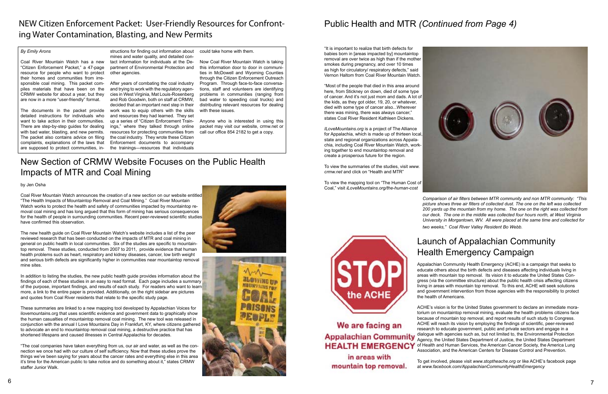#### *By Emily Arons*

Coal River Mountain Watch has a new "Citizen Enforcement Packet," a 47-page resource for people who want to protect their homes and communities from irresponsible coal mining. This packet compiles materials that have been on the CRMW website for about a year, but they are now in a more "user-friendly" format.

The documents in the packet provide detailed instructions for individuals who want to take action in their communities. There are step-by-step guides for dealing with bad water, blasting, and new permits. The packet also contains advice on filing complaints, explanations of the laws that are supposed to protect communities, in-

structions for finding out information about mines and water quality, and detailed contact information for individuals at the Department of Environmental Protection and other agencies.

After years of combating the coal industry and trying to work with the regulatory agencies in West Virginia, Mat Louis-Rosenberg and Rob Goodwin, both on staff at CRMW, decided that an important next step in their work was to equip others with the skills and resources they had learned. They set up a series of "Citizen Enforcement Trainings," where they talked through online resources for protecting communities from the coal industry. They wrote these Citizen Enforcement documents to accompany the trainings—resources that individuals

could take home with them.

Now Coal River Mountain Watch is taking this information door to door in communities in McDowell and Wyoming Counties through the Citizen Enforcement Outreach Program. Through face-to-face conversations, staff and volunteers are identifying problems in communities (ranging from bad water to speeding coal trucks) and distributing relevant resources for dealing with these issues.

Anyone who is interested in using this packet may visit our website, crmw.net or call our office 854 2182 to get a copy.

# NEW Citizen Enforcement Packet: User-Friendly Resources for Confronting Water Contamination, Blasting, and New Permits

# New Section of CRMW Website Focuses on the Public Health Impacts of MTR and Coal Mining

#### by Jen Osha

Coal River Mountain Watch announces the creation of a new section on our website entitled "The Health Impacts of Mountaintop Removal and Coal Mining." Coal River Mountain Watch works to protect the health and safety of communities impacted by mountaintop removal coal mining and has long argued that this form of mining has serious consequences for the health of people in surrounding communities. Recent peer-reviewed scientific studies have confirmed this observation.

The new health guide on Coal River Mountain Watch's website includes a list of the peer reviewed research that has been conducted on the impacts of MTR and coal mining in general on public health in local communities. Six of the studies are specific to mountaintop removal. These studies, conducted from 2007 to 2011, provide evidence that human health problems such as heart, respiratory and kidney diseases, cancer, low birth weight and serious birth defects are significantly higher in communities near mountaintop removal mine sites.

In addition to listing the studies, the new public health guide provides information about the findings of each of these studies in an easy to read format. Each page includes a summary of the purpose, important findings, and results of each study. For readers who want to learn more, a link to the entire paper is provided. Additionally, on the right sidebar are pictures and quotes from Coal River residents that relate to the specific study page.

These summaries are linked to a new mapping tool developed by Appalachian Voices for ilovemountains.org that uses scientific evidence and government data to graphically show the human casualties of mountaintop removal coal mining. The new tool was released in conjunction with the annual I Love Mountains Day in Frankfurt, KY, where citizens gathered to advocate an end to mountaintop removal coal mining, a destructive practice that has shortened lifespans and caused illnesses in Central Appalachia for decades.

"The coal companies have taken everything from us, our air and water, as well as the connection we once had with our culture of self sufficiency. Now that these studies prove the things we've been saying for years about the cancer rates and everything else in this area it's time for the American public to take notice and do something about it," states CRMW staffer Junior Walk.





# Public Health and MTR *(Continued from Page 4)*

"It is important to realize that birth defects for babies born in [areas impacted by] mountaintop removal are over twice as high than if the mother smokes during pregnancy, and over 10 times as high for circulatory/ respiratory defects," said Vernon Haltom from Coal River Mountain Watch.

"Most of the people that died in this area around here, from Stickney on down, died of some type of cancer. And it's not just mom and dads. A lot of the kids, as they got older, 19, 20, or whatever, died with some type of cancer also...Wherever there was mining, there was always cancer," states Coal River Resident Kathleen Dickens.

*ILoveMountains.org* is a project of The Alliance for Appalachia, which is made up of thirteen local, state and regional organizations across Appalachia, including Coal River Mountain Watch, working together to end mountaintop removal and create a prosperous future for the region.

To view the summaries of the studies, visit *www. crmw.net* and click on "Health and MTR"

To view the mapping tool on "The Human Cost of Coal," visit *iLoveMountains.org/the-human-cost*

We are facing an

in areas with mountain top removal.



*Comparison of air filters between MTR community and non MTR community: "This picture shows three air filters of collected dust. The one on the left was collected 200 yards up the mountain from my home. The one on the right was collected from our deck. The one in the middle was collected four hours north, at West Virginia University in Morgantown, WV. All were placed at the same time and collected for* 

*two weeks," Coal River Valley Resident Bo Webb.*

# Launch of Appalachian Community Health Emergency Campaign

Appalachian Community Health Emergency (ACHE) is a campaign that seeks to educate others about the birth defects and diseases affecting individuals living in areas with mountain top removal. Its vision it to educate the United States Congress (via the committee structure) about the public health crisis affecting citizens living in areas with mountain top removal. To this end, ACHE will seek solutions and government intervention from those agencies with the responsibility to protect the health of Americans.

ACHE's vision is for the United States government to declare an immediate moratorium on mountaintop removal mining, evaluate the health problems citizens face because of mountain top removal, and report results of such study to Congress. ACHE will reach its vision by employing the findings of scientific, peer-reviewed research to educate government, public and private sectors and engage in a Appalachian Community dialogue with agencies such as, but not limited to, the Environmental Protection Agency, the United States Department of Justice, the United States Department HEALTH EMERGENCY of Health and Human Services, the American Cancer Society, the America Lung Association, and the American Centers for Disease Control and Prevention.

> To get involved, please visit *www.stoptheache.org* or like ACHE's facebook page at *www.facebook.com/AppalachianCommunityHealthEmergency*